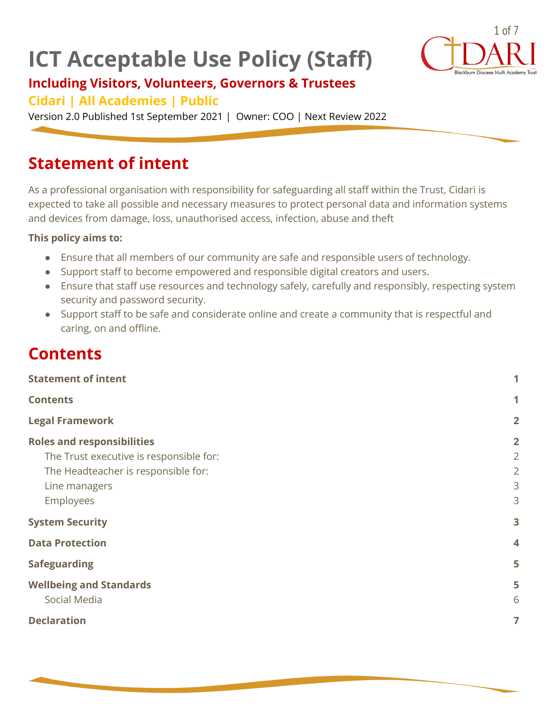# **ICT Acceptable Use Policy (Staff)**



### **Including Visitors, Volunteers, Governors & Trustees**

#### **Cidari | All Academies | Public**

Version 2.0 Published 1st September 2021 | Owner: COO | Next Review 2022

### <span id="page-0-0"></span>**Statement of intent**

As a professional organisation with responsibility for safeguarding all staff within the Trust, Cidari is expected to take all possible and necessary measures to protect personal data and information systems and devices from damage, loss, unauthorised access, infection, abuse and theft

#### **This policy aims to:**

- Ensure that all members of our community are safe and responsible users of technology.
- Support staff to become empowered and responsible digital creators and users.
- Ensure that staff use resources and technology safely, carefully and responsibly, respecting system security and password security.
- Support staff to be safe and considerate online and create a community that is respectful and caring, on and offline.

### <span id="page-0-1"></span>**Contents**

| <b>Statement of intent</b>              |                |
|-----------------------------------------|----------------|
| <b>Contents</b>                         | 1              |
| <b>Legal Framework</b>                  | $\overline{2}$ |
| <b>Roles and responsibilities</b>       | $\overline{2}$ |
| The Trust executive is responsible for: | $\overline{2}$ |
| The Headteacher is responsible for:     | $\overline{2}$ |
| Line managers                           | 3              |
| Employees                               | 3              |
| <b>System Security</b>                  | 3              |
| <b>Data Protection</b>                  | 4              |
| <b>Safeguarding</b>                     | 5              |
| <b>Wellbeing and Standards</b>          | 5              |
| Social Media                            | 6              |
| <b>Declaration</b>                      | $\overline{7}$ |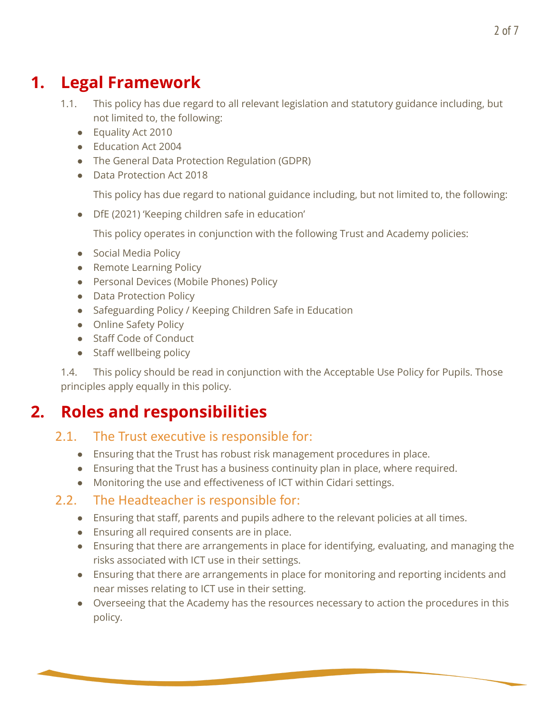## <span id="page-1-0"></span>**1. Legal Framework**

- 1.1. This policy has due regard to all relevant legislation and statutory guidance including, but not limited to, the following:
	- Equality Act 2010
	- Education Act 2004
	- The General Data Protection Regulation (GDPR)
	- Data Protection Act 2018

This policy has due regard to national guidance including, but not limited to, the following:

● DfE (2021) 'Keeping children safe in education'

This policy operates in conjunction with the following Trust and Academy policies:

- Social Media Policy
- Remote Learning Policy
- Personal Devices (Mobile Phones) Policy
- Data Protection Policy
- Safeguarding Policy / Keeping Children Safe in Education
- Online Safety Policy
- Staff Code of Conduct
- Staff wellbeing policy

1.4. This policy should be read in conjunction with the Acceptable Use Policy for Pupils. Those principles apply equally in this policy.

## <span id="page-1-2"></span><span id="page-1-1"></span>**2. Roles and responsibilities**

#### 2.1. The Trust executive is responsible for:

- Ensuring that the Trust has robust risk management procedures in place.
- Ensuring that the Trust has a business continuity plan in place, where required.
- Monitoring the use and effectiveness of ICT within Cidari settings.

#### <span id="page-1-3"></span>2.2. The Headteacher is responsible for:

- Ensuring that staff, parents and pupils adhere to the relevant policies at all times.
- Ensuring all required consents are in place.
- Ensuring that there are arrangements in place for identifying, evaluating, and managing the risks associated with ICT use in their settings.
- Ensuring that there are arrangements in place for monitoring and reporting incidents and near misses relating to ICT use in their setting.
- Overseeing that the Academy has the resources necessary to action the procedures in this policy.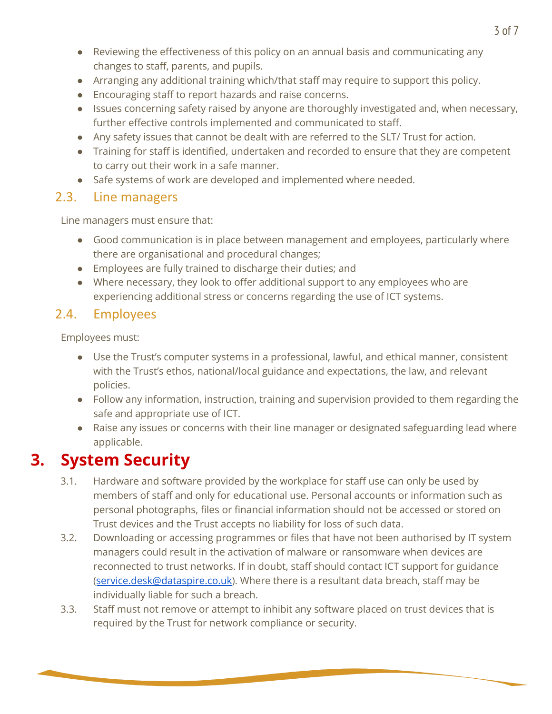- Reviewing the effectiveness of this policy on an annual basis and communicating any changes to staff, parents, and pupils.
- Arranging any additional training which/that staff may require to support this policy.
- Encouraging staff to report hazards and raise concerns.
- Issues concerning safety raised by anyone are thoroughly investigated and, when necessary, further effective controls implemented and communicated to staff.
- Any safety issues that cannot be dealt with are referred to the SLT/ Trust for action.
- Training for staff is identified, undertaken and recorded to ensure that they are competent to carry out their work in a safe manner.
- Safe systems of work are developed and implemented where needed.

#### <span id="page-2-0"></span>2.3. Line managers

Line managers must ensure that:

- Good communication is in place between management and employees, particularly where there are organisational and procedural changes;
- Employees are fully trained to discharge their duties; and
- Where necessary, they look to offer additional support to any employees who are experiencing additional stress or concerns regarding the use of ICT systems.

#### <span id="page-2-1"></span>2.4. Employees

Employees must:

- Use the Trust's computer systems in a professional, lawful, and ethical manner, consistent with the Trust's ethos, national/local guidance and expectations, the law, and relevant policies.
- Follow any information, instruction, training and supervision provided to them regarding the safe and appropriate use of ICT.
- Raise any issues or concerns with their line manager or designated safeguarding lead where applicable.

## <span id="page-2-2"></span>**3. System Security**

- 3.1. Hardware and software provided by the workplace for staff use can only be used by members of staff and only for educational use. Personal accounts or information such as personal photographs, files or financial information should not be accessed or stored on Trust devices and the Trust accepts no liability for loss of such data.
- 3.2. Downloading or accessing programmes or files that have not been authorised by IT system managers could result in the activation of malware or ransomware when devices are reconnected to trust networks. If in doubt, staff should contact ICT support for guidance ([service.desk@dataspire.co.uk](mailto:service.desk@dataspire.co.uk)). Where there is a resultant data breach, staff may be individually liable for such a breach.
- 3.3. Staff must not remove or attempt to inhibit any software placed on trust devices that is required by the Trust for network compliance or security.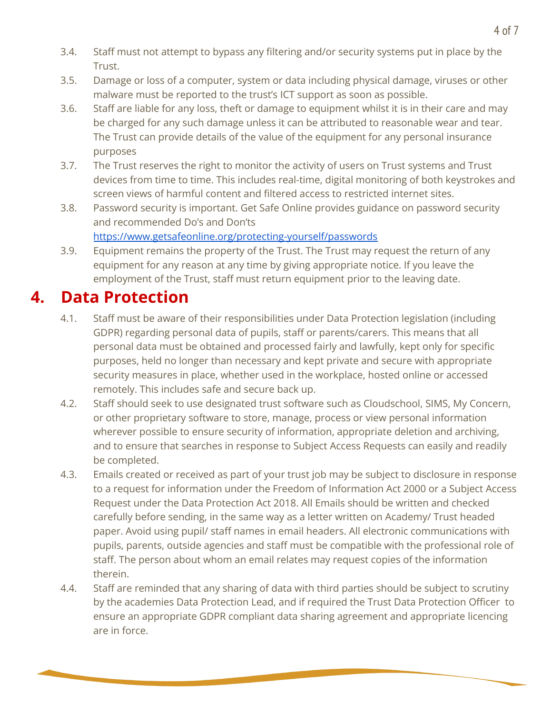- 3.4. Staff must not attempt to bypass any filtering and/or security systems put in place by the Trust.
- 3.5. Damage or loss of a computer, system or data including physical damage, viruses or other malware must be reported to the trust's ICT support as soon as possible.
- 3.6. Staff are liable for any loss, theft or damage to equipment whilst it is in their care and may be charged for any such damage unless it can be attributed to reasonable wear and tear. The Trust can provide details of the value of the equipment for any personal insurance purposes
- 3.7. The Trust reserves the right to monitor the activity of users on Trust systems and Trust devices from time to time. This includes real-time, digital monitoring of both keystrokes and screen views of harmful content and filtered access to restricted internet sites.
- 3.8. Password security is important. Get Safe Online provides guidance on password security and recommended Do's and Don'ts

<https://www.getsafeonline.org/protecting-yourself/passwords>

3.9. Equipment remains the property of the Trust. The Trust may request the return of any equipment for any reason at any time by giving appropriate notice. If you leave the employment of the Trust, staff must return equipment prior to the leaving date.

### <span id="page-3-0"></span>**4. Data Protection**

- 4.1. Staff must be aware of their responsibilities under Data Protection legislation (including GDPR) regarding personal data of pupils, staff or parents/carers. This means that all personal data must be obtained and processed fairly and lawfully, kept only for specific purposes, held no longer than necessary and kept private and secure with appropriate security measures in place, whether used in the workplace, hosted online or accessed remotely. This includes safe and secure back up.
- 4.2. Staff should seek to use designated trust software such as Cloudschool, SIMS, My Concern, or other proprietary software to store, manage, process or view personal information wherever possible to ensure security of information, appropriate deletion and archiving, and to ensure that searches in response to Subject Access Requests can easily and readily be completed.
- 4.3. Emails created or received as part of your trust job may be subject to disclosure in response to a request for information under the Freedom of Information Act 2000 or a Subject Access Request under the Data Protection Act 2018. All Emails should be written and checked carefully before sending, in the same way as a letter written on Academy/ Trust headed paper. Avoid using pupil/ staff names in email headers. All electronic communications with pupils, parents, outside agencies and staff must be compatible with the professional role of staff. The person about whom an email relates may request copies of the information therein.
- 4.4. Staff are reminded that any sharing of data with third parties should be subject to scrutiny by the academies Data Protection Lead, and if required the Trust Data Protection Officer to ensure an appropriate GDPR compliant data sharing agreement and appropriate licencing are in force.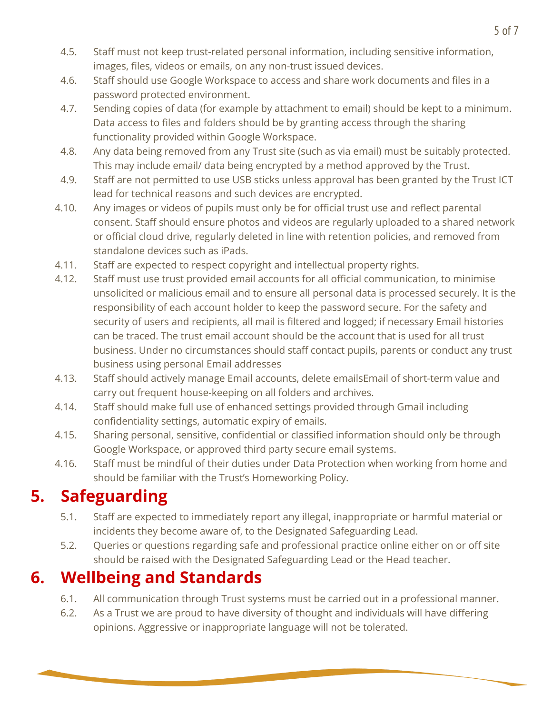- 4.5. Staff must not keep trust-related personal information, including sensitive information, images, files, videos or emails, on any non-trust issued devices.
- 4.6. Staff should use Google Workspace to access and share work documents and files in a password protected environment.
- 4.7. Sending copies of data (for example by attachment to email) should be kept to a minimum. Data access to files and folders should be by granting access through the sharing functionality provided within Google Workspace.
- 4.8. Any data being removed from any Trust site (such as via email) must be suitably protected. This may include email/ data being encrypted by a method approved by the Trust.
- 4.9. Staff are not permitted to use USB sticks unless approval has been granted by the Trust ICT lead for technical reasons and such devices are encrypted.
- 4.10. Any images or videos of pupils must only be for official trust use and reflect parental consent. Staff should ensure photos and videos are regularly uploaded to a shared network or official cloud drive, regularly deleted in line with retention policies, and removed from standalone devices such as iPads.
- 4.11. Staff are expected to respect copyright and intellectual property rights.
- 4.12. Staff must use trust provided email accounts for all official communication, to minimise unsolicited or malicious email and to ensure all personal data is processed securely. It is the responsibility of each account holder to keep the password secure. For the safety and security of users and recipients, all mail is filtered and logged; if necessary Email histories can be traced. The trust email account should be the account that is used for all trust business. Under no circumstances should staff contact pupils, parents or conduct any trust business using personal Email addresses
- 4.13. Staff should actively manage Email accounts, delete emailsEmail of short-term value and carry out frequent house-keeping on all folders and archives.
- 4.14. Staff should make full use of enhanced settings provided through Gmail including confidentiality settings, automatic expiry of emails.
- 4.15. Sharing personal, sensitive, confidential or classified information should only be through Google Workspace, or approved third party secure email systems.
- 4.16. Staff must be mindful of their duties under Data Protection when working from home and should be familiar with the Trust's Homeworking Policy.

# <span id="page-4-0"></span>**5. Safeguarding**

- 5.1. Staff are expected to immediately report any illegal, inappropriate or harmful material or incidents they become aware of, to the Designated Safeguarding Lead.
- 5.2. Queries or questions regarding safe and professional practice online either on or off site should be raised with the Designated Safeguarding Lead or the Head teacher.

# <span id="page-4-1"></span>**6. Wellbeing and Standards**

- 6.1. All communication through Trust systems must be carried out in a professional manner.
- 6.2. As a Trust we are proud to have diversity of thought and individuals will have differing opinions. Aggressive or inappropriate language will not be tolerated.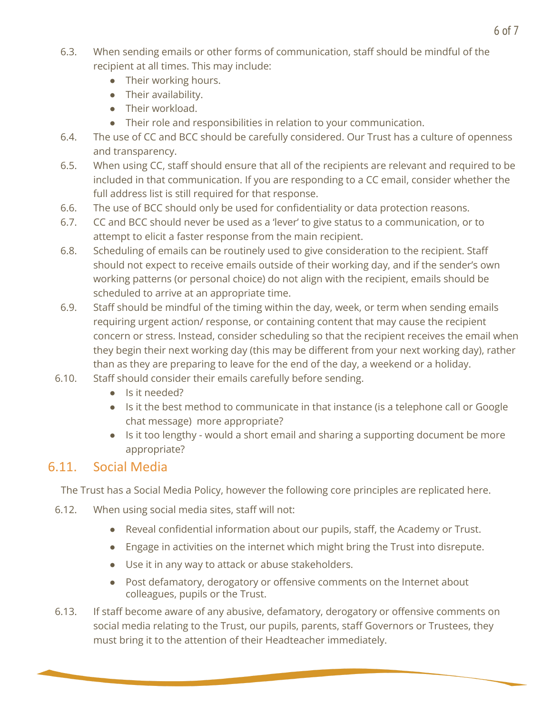- 6.3. When sending emails or other forms of communication, staff should be mindful of the recipient at all times. This may include:
	- Their working hours.
	- Their availability.
	- Their workload.
	- Their role and responsibilities in relation to your communication.
- 6.4. The use of CC and BCC should be carefully considered. Our Trust has a culture of openness and transparency.
- 6.5. When using CC, staff should ensure that all of the recipients are relevant and required to be included in that communication. If you are responding to a CC email, consider whether the full address list is still required for that response.
- 6.6. The use of BCC should only be used for confidentiality or data protection reasons.
- 6.7. CC and BCC should never be used as a 'lever' to give status to a communication, or to attempt to elicit a faster response from the main recipient.
- 6.8. Scheduling of emails can be routinely used to give consideration to the recipient. Staff should not expect to receive emails outside of their working day, and if the sender's own working patterns (or personal choice) do not align with the recipient, emails should be scheduled to arrive at an appropriate time.
- 6.9. Staff should be mindful of the timing within the day, week, or term when sending emails requiring urgent action/ response, or containing content that may cause the recipient concern or stress. Instead, consider scheduling so that the recipient receives the email when they begin their next working day (this may be different from your next working day), rather than as they are preparing to leave for the end of the day, a weekend or a holiday.
- 6.10. Staff should consider their emails carefully before sending.
	- Is it needed?
	- Is it the best method to communicate in that instance (is a telephone call or Google chat message) more appropriate?
	- Is it too lengthy would a short email and sharing a supporting document be more appropriate?

#### <span id="page-5-0"></span>6.11. Social Media

The Trust has a Social Media Policy, however the following core principles are replicated here.

- 6.12. When using social media sites, staff will not:
	- Reveal confidential information about our pupils, staff, the Academy or Trust.
	- Engage in activities on the internet which might bring the Trust into disrepute.
	- Use it in any way to attack or abuse stakeholders.
	- Post defamatory, derogatory or offensive comments on the Internet about colleagues, pupils or the Trust.
- 6.13. If staff become aware of any abusive, defamatory, derogatory or offensive comments on social media relating to the Trust, our pupils, parents, staff Governors or Trustees, they must bring it to the attention of their Headteacher immediately.